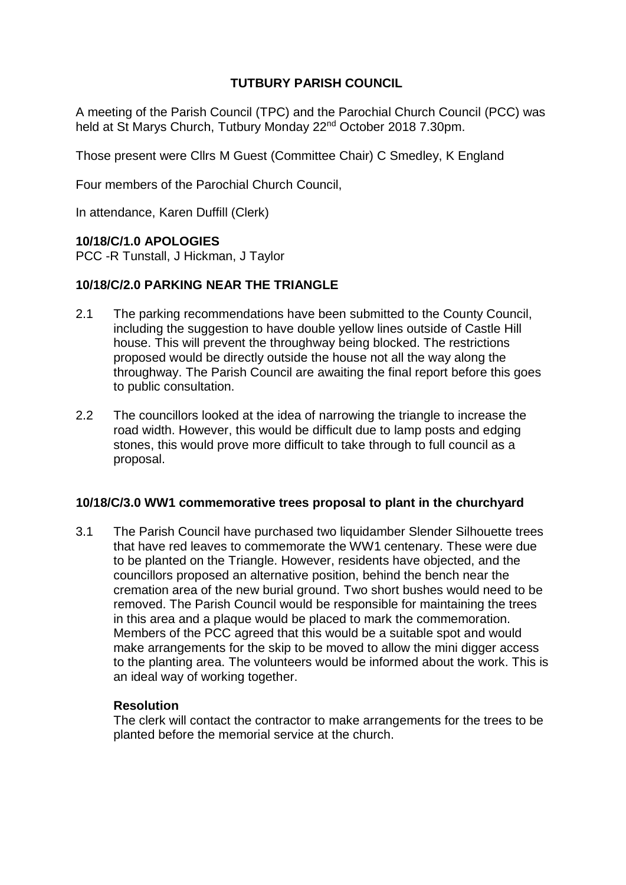# **TUTBURY PARISH COUNCIL**

A meeting of the Parish Council (TPC) and the Parochial Church Council (PCC) was held at St Marys Church, Tutbury Monday 22nd October 2018 7.30pm.

Those present were Cllrs M Guest (Committee Chair) C Smedley, K England

Four members of the Parochial Church Council,

In attendance, Karen Duffill (Clerk)

#### **10/18/C/1.0 APOLOGIES**

PCC -R Tunstall, J Hickman, J Taylor

## **10/18/C/2.0 PARKING NEAR THE TRIANGLE**

- 2.1 The parking recommendations have been submitted to the County Council, including the suggestion to have double yellow lines outside of Castle Hill house. This will prevent the throughway being blocked. The restrictions proposed would be directly outside the house not all the way along the throughway. The Parish Council are awaiting the final report before this goes to public consultation.
- 2.2 The councillors looked at the idea of narrowing the triangle to increase the road width. However, this would be difficult due to lamp posts and edging stones, this would prove more difficult to take through to full council as a proposal.

#### **10/18/C/3.0 WW1 commemorative trees proposal to plant in the churchyard**

3.1 The Parish Council have purchased two liquidamber Slender Silhouette trees that have red leaves to commemorate the WW1 centenary. These were due to be planted on the Triangle. However, residents have objected, and the councillors proposed an alternative position, behind the bench near the cremation area of the new burial ground. Two short bushes would need to be removed. The Parish Council would be responsible for maintaining the trees in this area and a plaque would be placed to mark the commemoration. Members of the PCC agreed that this would be a suitable spot and would make arrangements for the skip to be moved to allow the mini digger access to the planting area. The volunteers would be informed about the work. This is an ideal way of working together.

#### **Resolution**

The clerk will contact the contractor to make arrangements for the trees to be planted before the memorial service at the church.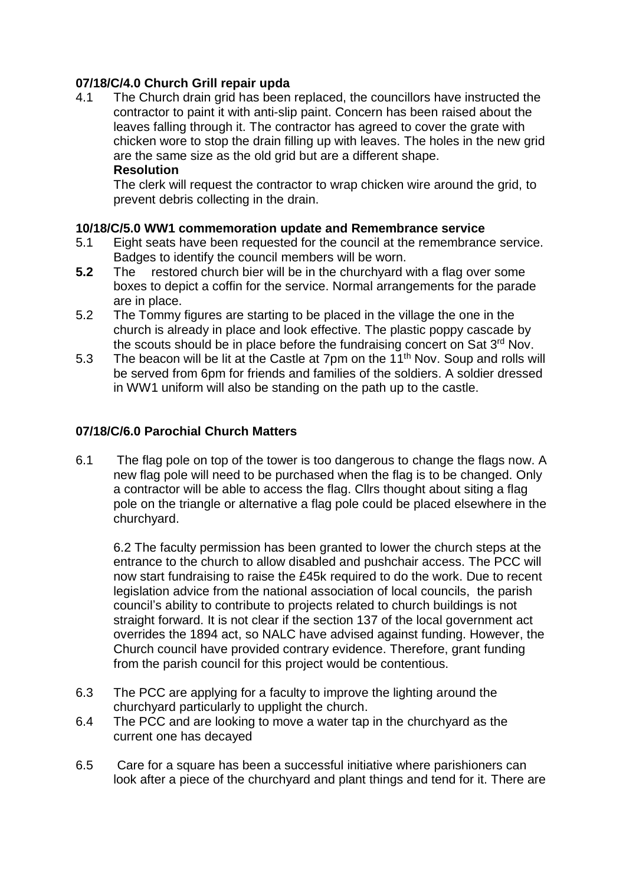# **07/18/C/4.0 Church Grill repair upda**

4.1 The Church drain grid has been replaced, the councillors have instructed the contractor to paint it with anti-slip paint. Concern has been raised about the leaves falling through it. The contractor has agreed to cover the grate with chicken wore to stop the drain filling up with leaves. The holes in the new grid are the same size as the old grid but are a different shape. **Resolution**

The clerk will request the contractor to wrap chicken wire around the grid, to prevent debris collecting in the drain.

## **10/18/C/5.0 WW1 commemoration update and Remembrance service**

- 5.1 Eight seats have been requested for the council at the remembrance service. Badges to identify the council members will be worn.
- **5.2** The restored church bier will be in the churchyard with a flag over some boxes to depict a coffin for the service. Normal arrangements for the parade are in place.
- 5.2 The Tommy figures are starting to be placed in the village the one in the church is already in place and look effective. The plastic poppy cascade by the scouts should be in place before the fundraising concert on Sat 3<sup>rd</sup> Nov.
- 5.3 The beacon will be lit at the Castle at 7pm on the 11<sup>th</sup> Nov. Soup and rolls will be served from 6pm for friends and families of the soldiers. A soldier dressed in WW1 uniform will also be standing on the path up to the castle.

## **07/18/C/6.0 Parochial Church Matters**

6.1 The flag pole on top of the tower is too dangerous to change the flags now. A new flag pole will need to be purchased when the flag is to be changed. Only a contractor will be able to access the flag. Cllrs thought about siting a flag pole on the triangle or alternative a flag pole could be placed elsewhere in the churchyard.

6.2 The faculty permission has been granted to lower the church steps at the entrance to the church to allow disabled and pushchair access. The PCC will now start fundraising to raise the £45k required to do the work. Due to recent legislation advice from the national association of local councils, the parish council's ability to contribute to projects related to church buildings is not straight forward. It is not clear if the section 137 of the local government act overrides the 1894 act, so NALC have advised against funding. However, the Church council have provided contrary evidence. Therefore, grant funding from the parish council for this project would be contentious.

- 6.3 The PCC are applying for a faculty to improve the lighting around the churchyard particularly to upplight the church.
- 6.4 The PCC and are looking to move a water tap in the churchyard as the current one has decayed
- 6.5 Care for a square has been a successful initiative where parishioners can look after a piece of the churchyard and plant things and tend for it. There are